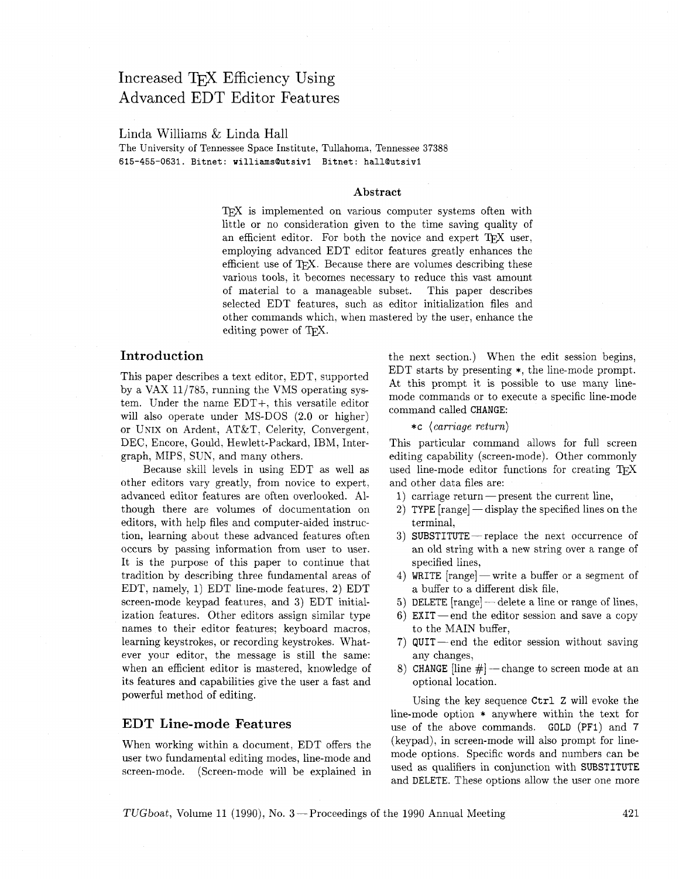# Increased T<sub>F</sub>X Efficiency Using Advanced EDT Editor Features

#### Linda Williams & Linda Hall

The University of Tennessee Space Institute, Tullahoma, Tennessee 37388 **615-455-0631. Bitnet: williamsQutsiv1 Bitnet: hallQutsiv1** 

#### **Abstract**

T<sub>F</sub>X is implemented on various computer systems often with little or no consideration given to the time saving quality of an efficient editor. For both the novice and expert TFX user, employing advanced EDT editor features greatly enhances the efficient use of T<sub>F</sub>X. Because there are volumes describing these various tools, it becomes necessary to reduce this vast amount of material to a manageable subset. This paper describes selected EDT features, such as editor initialization files and other commands which, when mastered by the user, enhance the editing power of T<sub>F</sub>X.

## **Introduction**

This paper describes a text editor. EDT, supported by a VAX  $11/785$ , running the VMS operating system. Under the name EDT+, this versatile editor will also operate under MS-DOS (2.0 or higher) or UNIX on Ardent, AT&T, Celerity, Convergent, DEC, Encore, Gould. Hewlett-Packard, IBM, Intergraph, MIPS, SUN, and many others.

Because skill levels in using EDT as well as other editors vary greatly, from novice to expert, advanced editor features are often overlooked. Although there are volumes of documentation on editors, with help files and computer-aided instruction, learning about these advanced features often occurs by passing information from user to user. It is the purpose of this paper to continue that tradition by describing three fundamental areas of EDT, namely, 1) EDT line-mode features. 2) EDT screen-mode keypad features, and **3)** EDT initialization features. Other editors assign similar type names to their editor features; keyboard macros, learning keystrokes, or recording keystrokes. Whatever your editor, the message is still the same: when an efficient editor is mastered, knowledge of its features and capabilities give the user a fast and powerful method of editing.

#### **EDT Line-mode Features**

When working within a document, EDT offers the user two fundamental editing modes, line-mode and screen-mode. (Screen-mode will be explained in the next section.) When the edit session begins, EDT starts by presenting \*, the line-mode prompt. At this prompt it is possible to use many linemode commands or to execute a specific line-mode command called CHANGE:

\*c *(carriage return)* 

This particular command allows for full screen editing capability (screen-mode). Other commonly used line-mode editor functions for creating  $T_F X$ and other data files are:

- 1) carriage return  $-$  present the current line,
- 2) TYPE  $[range]$  display the specified lines on the terminal,
- 3) SUBSTITUTE-replace the next occurrence of an old string with a new string over a range of specified lines,
- 4) WRITE  $[range]$  -write a buffer or a segment of a buffer to a different disk file, WRITE [range] — Write a outlet or a segment of<br>a buffer to a different disk file,<br>DELETE [range] — delete a line or range of lines,
- 
- a ourier to a different disk file,<br>DELETE [range] delete a line or range of lines,<br>EXIT end the editor session and save a copy to the MAIN buffer,
- 7)  $QUIT$  end the editor session without saving any changes,
- 8) CHANGE [line  $#$ ] -change to screen mode at an optional location.

Using the key sequence Ctrl Z will evoke the line-mode option \* anywhere within the text for use of the above commands. GOLD **(PFI)** and 7 (keypad), in screen-mode will also prompt for linemode options. Specific words and numbers can be used as qualifiers in conjunction with SUBSTITUTE and DELETE. These options allow the user one more

TUGboat, Volume 11 (1990), No. 3 – Proceedings of the 1990 Annual Meeting 421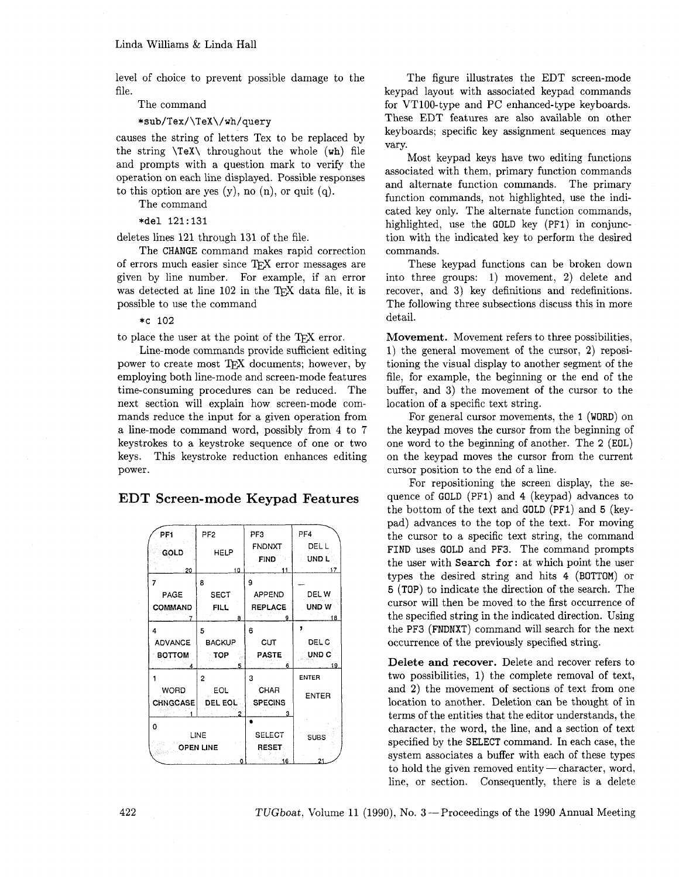level of choice to prevent possible damage to the file.

The command

#### \*sub/Tex/\TeX\/wh/query

causes the string of letters Tex to be replaced by the string  $\text{TeV}$  throughout the whole (wh) file and prompts with a question mark to verify the operation on each line displayed. Possible responses to this option are yes  $(y)$ , no  $(n)$ , or quit  $(q)$ .

The command

\*del 121:131

deletes lines 121 through 131 of the file.

The CHANGE command makes rapid correction of errors much easier since TFX error messages are given by line number. For example, if an error was detected at line  $102$  in the TFX data file, it is possible to use the command

\*c 102

to place the user at the point of the TFX error.

Line-mode commands provide sufficient editing power to create most TEX documents; however, by employing both line-mode and screen-mode features time-consuming procedures can be reduced. The next section will explain how screen-mode commands reduce the input for a given operation from a line-mode command word, possibly from 4 to 7 keystrokes to a keystroke sequence of one or two keys. This keystroke reduction enhances editing power.  $\begin{array}{ccc} \hbox{hances editing} & \hbox{on} \ \hbox{curs} & \hbox{curs} \ \hline \hline \text{Features} & \hbox{que} \ \hline \text{pred} & \hbox{the} \ \hline \end{array}$ 

#### **EDT Screen-mode Keypad Features**

| PF <sub>1</sub>                | PF <sub>2</sub>       | PF3                          | PF4                  |  |
|--------------------------------|-----------------------|------------------------------|----------------------|--|
| GOLD                           | <b>HELP</b>           | <b>FNDNXT</b><br><b>FIND</b> | DEL L<br>UND L<br>Ť. |  |
| 20                             | 10                    | 11                           | 17                   |  |
| 7                              | 8                     | 9                            |                      |  |
| PAGE                           | <b>SECT</b>           | APPEND                       | DEL W                |  |
| COMMAND                        | <b>FILL</b>           | <b>REPLACE</b>               | UND W                |  |
|                                | 8                     | 9                            | 18                   |  |
| 4                              | 5                     | 6                            | ,                    |  |
| <b>ADVANCE</b>                 | <b>BACKUP</b>         | CUT                          | DEL C                |  |
| <b>BOTTOM</b><br>4             | : тор<br>5            | <b>PASTE</b><br>6            | UND C<br>19          |  |
|                                | $\overline{c}$        | 3                            | <b>ENTER</b>         |  |
| <b>WORD</b><br><b>CHNGCASE</b> | <b>EOL</b><br>DEL EOL | CHAR<br><b>SPECINS</b>       | <b>ENTER</b>         |  |
|                                | 2                     |                              |                      |  |
| 0<br>LINE                      |                       | <b>SELECT</b>                |                      |  |
| <b>OPEN LINE</b>               |                       |                              | <b>SUBS</b>          |  |
|                                |                       | <b>RESET</b>                 |                      |  |
|                                | o                     | 16                           |                      |  |

The figure illustrates the EDT screen-mode keypad layout with associated keypad commands for VT100-type and PC enhanced-type keyboards. These EDT features are also available on other keyboards; specific key assignment sequences may vary.

Most keypad keys have two editing functions associated with them, primary function commands and alternate function commands. The primary function commands, not highlighted, use the indicated key only. The alternate function commands, highlighted, use the GOLD key (PFI) in conjunction with the indicated key to perform the desired commands.

These keypad functions can be broken down into three groups: 1) movement, 2) delete and recover, and 3) key definitions and redefinitions. The following three subsections discuss this in more detail.

**Movement.** Movement refers to three possibilities, 1) the general movement of the cursor, 2) repositioning the visual display to another segment of the file, for example, the beginning or the end of the buffer, and 3) the movement of the cursor to the location of a specific text string.

For general cursor movements, the 1 (WORD) on the keypad moves the cursor from the beginning of one word to the beginning of another. The 2 (EOL) on the keypad moves the cursor from the current cursor position to the end of a line.

For repositioning the screen display, the sequence of GOLD (PFI) and 4 (keypad) advances to the bottom of the text and GOLD (PFI) and 5 (keypad) advances to the top of the text. For moving the cursor to a specific text string, the command FIND uses GOLD and PF3. The command prompts the user with Search for: at which point the user types the desired string and hits 4 (BOTTOM) or 5 (TOP) to indicate the direction of the search. The cursor will then be moved to the first occurrence of the specified string in the indicated direction. Using the PF3 (FNDNXT) command will search for the next occurrence of the previously specified string.

**Delete and recover.** Delete and recover refers to two possibilities, 1) the complete removal of text, and **2)** the movement of sections of text from one location to another. Deletion can be thought of in terms of the entities that the editor understands, the character, the word, the line, and a section of text specified by the SELECT command. In each case, the specified by the SEECT command. In each case, the<br>system associates a buffer with each of these types<br>to hold the given removed entity - character, word, line, or section. Consequently, there is a delete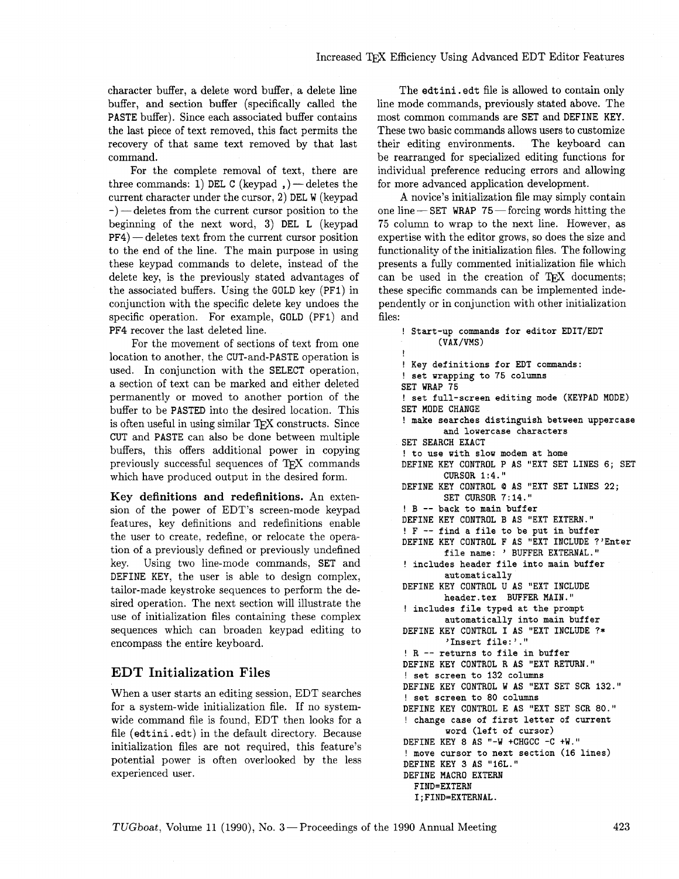character buffer, a delete word buffer, a delete line buffer, and section buffer (specifically called the PASTE buffer). Since each associated buffer contains the last piece of text removed, this fact permits the recovery of that same text removed by that last command.

For the complete removal of text, there are three commands: 1) DEL C (keypad,  $)$  – deletes the current character under the cursor, **2)** DEL W (keypad  $-$ ) — deletes from the current cursor position to the beginning of the next word, **3)** DEL L (keypad  $PF4$ )  $-de$  deletes text from the current cursor position to the end of the line. The main purpose in using these keypad commands to delete, instead of the delete key, is the previously stated advantages of the associated buffers. Using the GOLD key (PFI) in conjunction with the specific delete key undoes the specific operation. For example, GOLD (PFI) and PF4 recover the last deleted line.

For the movement of sections of text from one location to another, the CUT-and-PASTE operation is used. In conjunction with the SELECT operation, a section of text can be marked and either deleted permanently or moved to another portion of the buffer to be PASTED into the desired location. This is often useful in using similar  $T_F X$  constructs. Since CUT and PASTE can also be done between multiple buffers, this offers additional power in copying previously successful sequences of TEX commands which have produced output in the desired form.

**Key definitions and redefinitions.** An extension of the power of EDT's screen-mode keypad features, key definitions and redefinitions enable the user to create, redefine, or relocate the operation of a previously defined or previously undefined key. Using two line-mode commands, SET and DEFINE KEY, the user is able to design complex, tailor-made keystroke sequences to perform the desired operation. The next section will illustrate the use of initialization files containing these complex sequences which can broaden keypad editing to encompass the entire keyboard.

#### **EDT Initialization Files**

When a user starts an editing session, EDT searches for a system-wide initialization file. If no systemwide command file is found, EDT then looks for a file (edtini. edt) in the default directory. Because initialization files are not required, this feature's potential power is often overlooked by the less experienced user.

The edtini . edt file is allowed to contain only line mode commands, previously stated above. The most common commands are SET and DEFINE KEY. These two basic commands allows users to customize their editing environments. The keyboard can be rearranged for specialized editing functions for individual preference reducing errors and allowing for more advanced application development.

A novice's initialization file may simply contain one line  $-$  SET WRAP 75 $-$  forcing words hitting the **75** column to wrap to the next line. However, as expertise with the editor grows, so does the size and functionality of the initialization files. The following presents a fully commented initialization file which can be used in the creation of TFX documents; these specific commands can be implemented independently or in conjunction with other initialization files:

! **Start-up commands for editor EDIT/EDT (VAX/VMS)**  ! ! **Key definitions for EDT commands:**  ! **set wrapping to 75 columns SET WRAP 75**  ! **set full-screen editing mode (KEYPAD MODE) SET MODE CHANGE**  ! **make searches distinguish between uppercase and lowercase characters SET SEARCH EXACT**  ! **to use with slow modem at home DEFINE KEY CONTROL P AS "EXT SET LINES 6; SET CURSOR 1:4." DEFINE KEY CONTROL Q AS "EXT SET LINES 22; SET CURSOR 7:14."**  ! **B** -- **back to main buffer DEFINE KEY CONTROL B AS "EXT EXTERN."**  ! **F** -- **find a file to be put in buffer DEFINE KEY CONTROL F AS "EXT INCLUDE ?'Enter file name:** ' **BUFFER EXTERNAL."**  ! **includes header file into main buffer automatically DEFINE KEY CONTROL U AS "EXT INCLUDE header.tex BUFFER MAIN."**  ! **includes file typed at the prompt automatically into main buffer DEFINE KEY CONTROL I AS "EXT INCLUDE** ?\* **'Insert file:'."**  ! **R** -- **returns to file in buffer DEFINE KEY CONTROL R AS "EXT RETURN. "**  ! **set screen to 132 columns DEFINE KEY CONTROL W AS "EXT SET SCR 132."**  ! **set screen to 80 columns DEFINE KEY CONTROL E AS "EXT SET SCR 80."**  ! **change case of first letter of current word (left of cursor) DEFINE KEY 8 AS "-W +CHGCC -C +W."**  ! **move cursor to next section (16 lines) DEFINE KEY 3 AS "16L." DEFINE MACRO EXTERN FIND=EXTERN I;FIND=EXTERNAL.** 

TUGboat, Volume 11 (1990), No. 3-Proceedings of the 1990 Annual Meeting